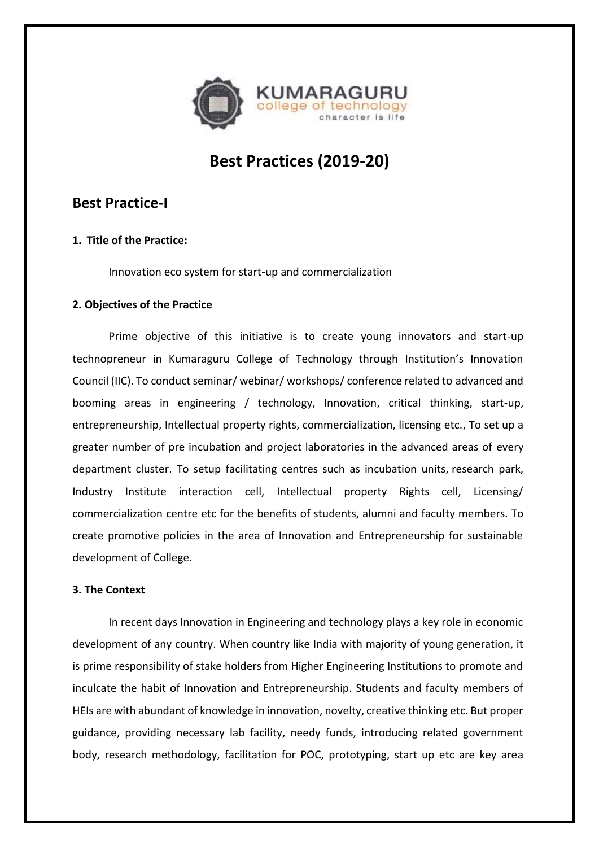

# **Best Practices (2019-20)**

## **Best Practice-I**

## **1. Title of the Practice:**

Innovation eco system for start-up and commercialization

#### **2. Objectives of the Practice**

Prime objective of this initiative is to create young innovators and start-up technopreneur in Kumaraguru College of Technology through Institution's Innovation Council (IIC). To conduct seminar/ webinar/ workshops/ conference related to advanced and booming areas in engineering / technology, Innovation, critical thinking, start-up, entrepreneurship, Intellectual property rights, commercialization, licensing etc., To set up a greater number of pre incubation and project laboratories in the advanced areas of every department cluster. To setup facilitating centres such as incubation units, research park, Industry Institute interaction cell, Intellectual property Rights cell, Licensing/ commercialization centre etc for the benefits of students, alumni and faculty members. To create promotive policies in the area of Innovation and Entrepreneurship for sustainable development of College.

### **3. The Context**

In recent days Innovation in Engineering and technology plays a key role in economic development of any country. When country like India with majority of young generation, it is prime responsibility of stake holders from Higher Engineering Institutions to promote and inculcate the habit of Innovation and Entrepreneurship. Students and faculty members of HEIs are with abundant of knowledge in innovation, novelty, creative thinking etc. But proper guidance, providing necessary lab facility, needy funds, introducing related government body, research methodology, facilitation for POC, prototyping, start up etc are key area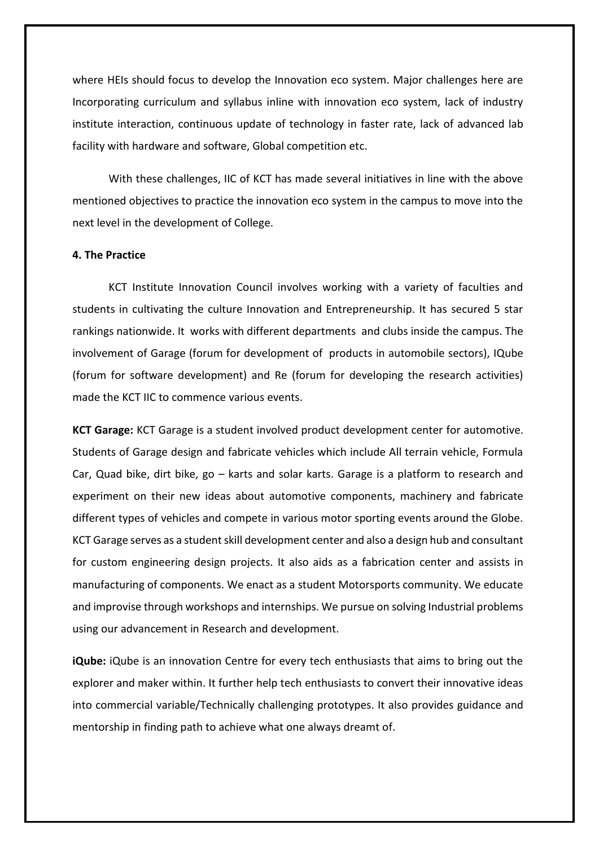where HEIs should focus to develop the Innovation eco system. Major challenges here are Incorporating curriculum and syllabus inline with innovation eco system, lack of industry institute interaction, continuous update of technology in faster rate, lack of advanced lab facility with hardware and software, Global competition etc.

With these challenges, IIC of KCT has made several initiatives in line with the above mentioned objectives to practice the innovation eco system in the campus to move into the next level in the development of College.

#### **4. The Practice**

KCT Institute Innovation Council involves working with a variety of faculties and students in cultivating the culture Innovation and Entrepreneurship. It has secured 5 star rankings nationwide. It works with different departments and clubs inside the campus. The involvement of Garage (forum for development of products in automobile sectors), IQube (forum for software development) and Re (forum for developing the research activities) made the KCT IIC to commence various events.

**KCT Garage:** KCT Garage is a student involved product development center for automotive. Students of Garage design and fabricate vehicles which include All terrain vehicle, Formula Car, Quad bike, dirt bike, go – karts and solar karts. Garage is a platform to research and experiment on their new ideas about automotive components, machinery and fabricate different types of vehicles and compete in various motor sporting events around the Globe. KCT Garage serves as a student skill development center and also a design hub and consultant for custom engineering design projects. It also aids as a fabrication center and assists in manufacturing of components. We enact as a student Motorsports community. We educate and improvise through workshops and internships. We pursue on solving Industrial problems using our advancement in Research and development.

**iQube:** iQube is an innovation Centre for every tech enthusiasts that aims to bring out the explorer and maker within. It further help tech enthusiasts to convert their innovative ideas into commercial variable/Technically challenging prototypes. It also provides guidance and mentorship in finding path to achieve what one always dreamt of.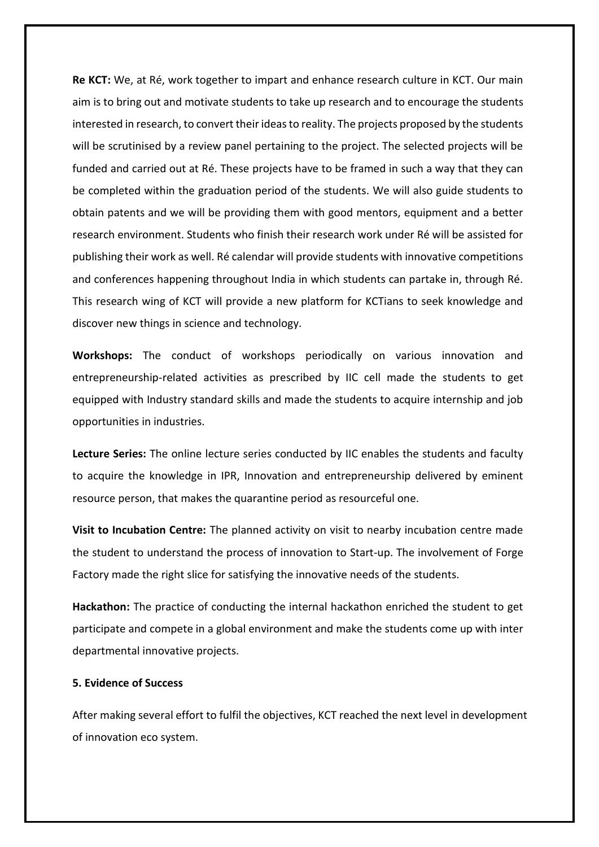**Re KCT:** We, at Ré, work together to impart and enhance research culture in KCT. Our main aim is to bring out and motivate students to take up research and to encourage the students interested in research, to convert their ideas to reality. The projects proposed by the students will be scrutinised by a review panel pertaining to the project. The selected projects will be funded and carried out at Ré. These projects have to be framed in such a way that they can be completed within the graduation period of the students. We will also guide students to obtain patents and we will be providing them with good mentors, equipment and a better research environment. Students who finish their research work under Ré will be assisted for publishing their work as well. Ré calendar will provide students with innovative competitions and conferences happening throughout India in which students can partake in, through Ré. This research wing of KCT will provide a new platform for KCTians to seek knowledge and discover new things in science and technology.

**Workshops:** The conduct of workshops periodically on various innovation and entrepreneurship-related activities as prescribed by IIC cell made the students to get equipped with Industry standard skills and made the students to acquire internship and job opportunities in industries.

**Lecture Series:** The online lecture series conducted by IIC enables the students and faculty to acquire the knowledge in IPR, Innovation and entrepreneurship delivered by eminent resource person, that makes the quarantine period as resourceful one.

**Visit to Incubation Centre:** The planned activity on visit to nearby incubation centre made the student to understand the process of innovation to Start-up. The involvement of Forge Factory made the right slice for satisfying the innovative needs of the students.

**Hackathon:** The practice of conducting the internal hackathon enriched the student to get participate and compete in a global environment and make the students come up with inter departmental innovative projects.

#### **5. Evidence of Success**

After making several effort to fulfil the objectives, KCT reached the next level in development of innovation eco system.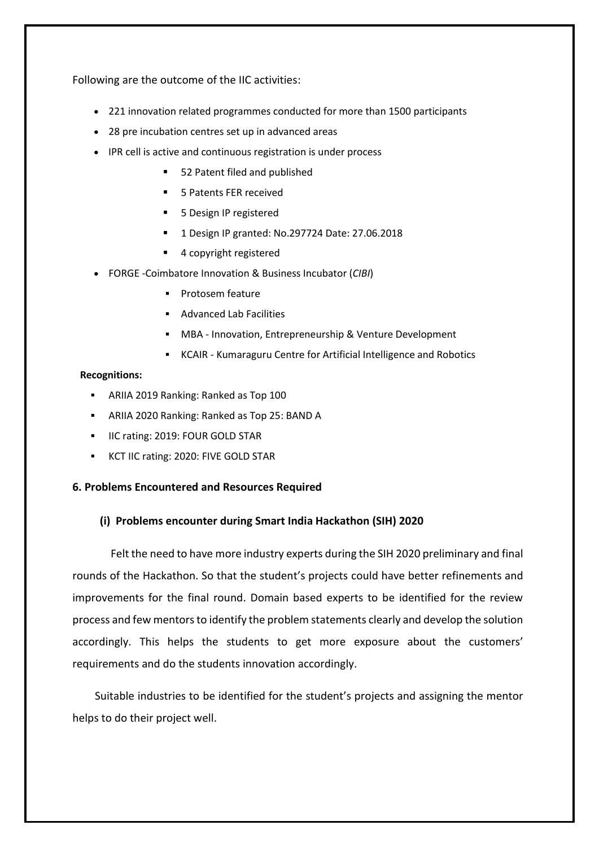Following are the outcome of the IIC activities:

- 221 innovation related programmes conducted for more than 1500 participants
- 28 pre incubation centres set up in advanced areas
- IPR cell is active and continuous registration is under process
	- 52 Patent filed and published
	- 5 Patents FER received
	- 5 Design IP registered
	- 1 Design IP granted: No.297724 Date: 27.06.2018
	- 4 copyright registered
- FORGE -Coimbatore Innovation & Business Incubator (*CIBI*)
	- Protosem feature
	- Advanced Lab Facilities
	- MBA Innovation, Entrepreneurship & Venture Development
	- KCAIR Kumaraguru Centre for Artificial Intelligence and Robotics

#### **Recognitions:**

- ARIIA 2019 Ranking: Ranked as Top 100
- ARIIA 2020 Ranking: Ranked as Top 25: BAND A
- **IIC rating: 2019: FOUR GOLD STAR**
- KCT IIC rating: 2020: FIVE GOLD STAR

#### **6. Problems Encountered and Resources Required**

#### **(i) Problems encounter during Smart India Hackathon (SIH) 2020**

 Felt the need to have more industry experts during the SIH 2020 preliminary and final rounds of the Hackathon. So that the student's projects could have better refinements and improvements for the final round. Domain based experts to be identified for the review process and few mentors to identify the problem statements clearly and develop the solution accordingly. This helps the students to get more exposure about the customers' requirements and do the students innovation accordingly.

 Suitable industries to be identified for the student's projects and assigning the mentor helps to do their project well.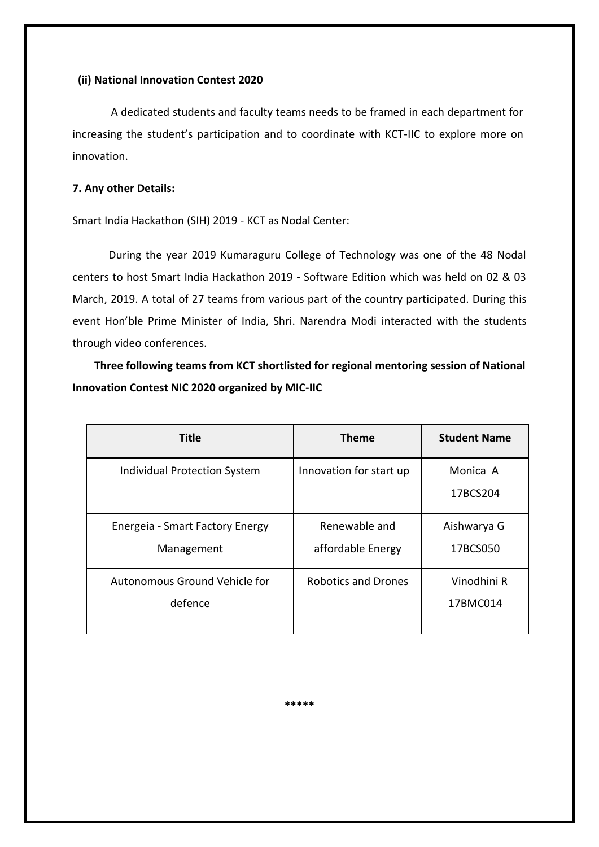#### **(ii) National Innovation Contest 2020**

A dedicated students and faculty teams needs to be framed in each department for increasing the student's participation and to coordinate with KCT-IIC to explore more on innovation.

#### **7. Any other Details:**

Smart India Hackathon (SIH) 2019 - KCT as Nodal Center:

During the year 2019 Kumaraguru College of Technology was one of the 48 Nodal centers to host Smart India Hackathon 2019 - Software Edition which was held on 02 & 03 March, 2019. A total of 27 teams from various part of the country participated. During this event Hon'ble Prime Minister of India, Shri. Narendra Modi interacted with the students through video conferences.

 **Three following teams from KCT shortlisted for regional mentoring session of National Innovation Contest NIC 2020 organized by MIC-IIC**

| <b>Title</b>                                  | <b>Theme</b>                       | <b>Student Name</b>     |
|-----------------------------------------------|------------------------------------|-------------------------|
| <b>Individual Protection System</b>           | Innovation for start up            | Monica A<br>17BCS204    |
| Energeia - Smart Factory Energy<br>Management | Renewable and<br>affordable Energy | Aishwarya G<br>17BCS050 |
| Autonomous Ground Vehicle for<br>defence      | <b>Robotics and Drones</b>         | Vinodhini R<br>17BMC014 |

**\*\*\*\*\***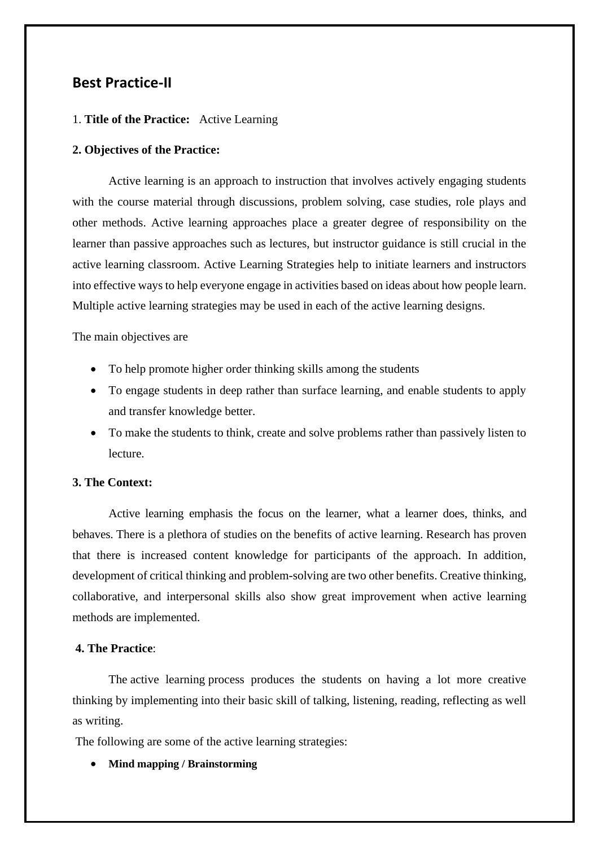## **Best Practice-II**

#### 1. **Title of the Practice:** Active Learning

#### **2. Objectives of the Practice:**

Active learning is an approach to instruction that involves actively engaging students with the course material through discussions, problem solving, case studies, role plays and other methods. Active learning approaches place a greater degree of responsibility on the learner than passive approaches such as lectures, but instructor guidance is still crucial in the active learning classroom. Active Learning Strategies help to initiate learners and instructors into effective ways to help everyone engage in activities based on ideas about how people learn. Multiple active learning strategies may be used in each of the active learning designs.

The main objectives are

- To help promote higher order thinking skills among the students
- To engage students in deep rather than surface learning, and enable students to apply and transfer knowledge better.
- To make the students to think, create and solve problems rather than passively listen to lecture.

#### **3. The Context:**

Active learning emphasis the focus on the learner, what a learner does, thinks, and behaves. There is a plethora of studies on the benefits of active learning. Research has proven that there is increased content knowledge for participants of the approach. In addition, development of critical thinking and problem-solving are two other benefits. Creative thinking, collaborative, and interpersonal skills also show great improvement when active learning methods are implemented.

#### **4. The Practice**:

The active learning process produces the students on having a lot more creative thinking by implementing into their basic skill of talking, listening, reading, reflecting as well as writing.

The following are some of the active learning strategies:

#### • **Mind mapping / Brainstorming**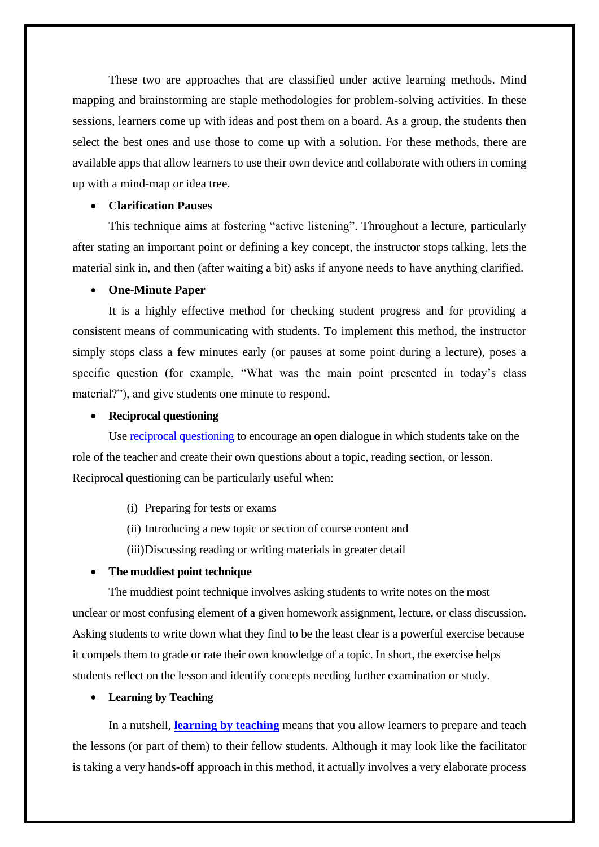These two are approaches that are classified under active learning methods. Mind mapping and brainstorming are staple methodologies for problem-solving activities. In these sessions, learners come up with ideas and post them on a board. As a group, the students then select the best ones and use those to come up with a solution. For these methods, there are available apps that allow learners to use their own device and collaborate with others in coming up with a mind-map or idea tree.

#### • **Clarification Pauses**

This technique aims at fostering "active listening". Throughout a lecture, particularly after stating an important point or defining a key concept, the instructor stops talking, lets the material sink in, and then (after waiting a bit) asks if anyone needs to have anything clarified.

#### • **One-Minute Paper**

It is a highly effective method for checking student progress and for providing a consistent means of communicating with students. To implement this method, the instructor simply stops class a few minutes early (or pauses at some point during a lecture), poses a specific question (for example, "What was the main point presented in today's class material?"), and give students one minute to respond.

#### • **Reciprocal questioning**

Use [reciprocal questioning](https://prodigygame.com/main-en/blog/reciprocal-teaching/) to encourage an open dialogue in which students take on the role of the teacher and create their own questions about a topic, reading section, or lesson. Reciprocal questioning can be particularly useful when:

- (i) Preparing for tests or exams
- (ii) Introducing a new topic or section of course content and
- (iii)Discussing reading or writing materials in greater detail

#### • **The muddiest point technique**

The muddiest point technique involves asking students to write notes on the most unclear or most confusing element of a given homework assignment, lecture, or class discussion. Asking students to write down what they find to be the least clear is a powerful exercise because it compels them to grade or rate their own knowledge of a topic. In short, the exercise helps students reflect on the lesson and identify concepts needing further examination or study.

#### • **Learning by Teaching**

In a nutshell, **learning by [teaching](https://www.efrontlearning.com/blog/2016/10/powerful-teaching-strategies-engaged-corporate-learners.html)** means that you allow learners to prepare and teach the lessons (or part of them) to their fellow students. Although it may look like the facilitator is taking a very hands-off approach in this method, it actually involves a very elaborate process